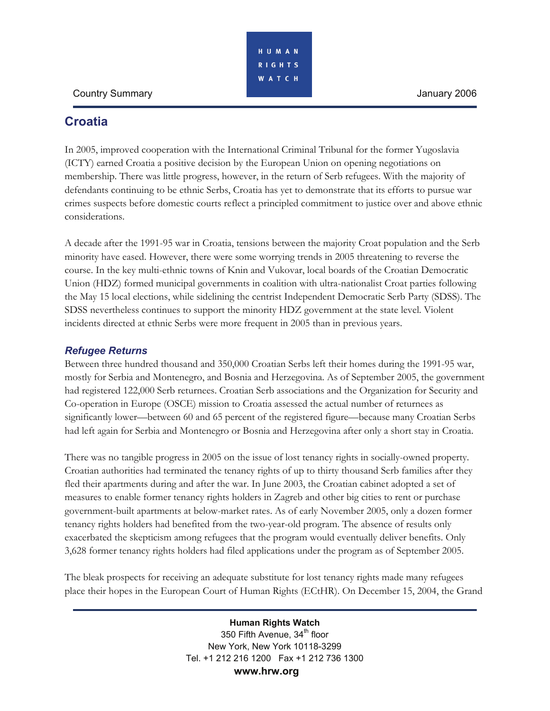## Country Summary January 2006

# **Croatia**

In 2005, improved cooperation with the International Criminal Tribunal for the former Yugoslavia (ICTY) earned Croatia a positive decision by the European Union on opening negotiations on membership. There was little progress, however, in the return of Serb refugees. With the majority of defendants continuing to be ethnic Serbs, Croatia has yet to demonstrate that its efforts to pursue war crimes suspects before domestic courts reflect a principled commitment to justice over and above ethnic considerations.

A decade after the 1991-95 war in Croatia, tensions between the majority Croat population and the Serb minority have eased. However, there were some worrying trends in 2005 threatening to reverse the course. In the key multi-ethnic towns of Knin and Vukovar, local boards of the Croatian Democratic Union (HDZ) formed municipal governments in coalition with ultra-nationalist Croat parties following the May 15 local elections, while sidelining the centrist Independent Democratic Serb Party (SDSS). The SDSS nevertheless continues to support the minority HDZ government at the state level. Violent incidents directed at ethnic Serbs were more frequent in 2005 than in previous years.

### *Refugee Returns*

Between three hundred thousand and 350,000 Croatian Serbs left their homes during the 1991-95 war, mostly for Serbia and Montenegro, and Bosnia and Herzegovina. As of September 2005, the government had registered 122,000 Serb returnees. Croatian Serb associations and the Organization for Security and Co-operation in Europe (OSCE) mission to Croatia assessed the actual number of returnees as significantly lower—between 60 and 65 percent of the registered figure—because many Croatian Serbs had left again for Serbia and Montenegro or Bosnia and Herzegovina after only a short stay in Croatia.

There was no tangible progress in 2005 on the issue of lost tenancy rights in socially-owned property. Croatian authorities had terminated the tenancy rights of up to thirty thousand Serb families after they fled their apartments during and after the war. In June 2003, the Croatian cabinet adopted a set of measures to enable former tenancy rights holders in Zagreb and other big cities to rent or purchase government-built apartments at below-market rates. As of early November 2005, only a dozen former tenancy rights holders had benefited from the two-year-old program. The absence of results only exacerbated the skepticism among refugees that the program would eventually deliver benefits. Only 3,628 former tenancy rights holders had filed applications under the program as of September 2005.

The bleak prospects for receiving an adequate substitute for lost tenancy rights made many refugees place their hopes in the European Court of Human Rights (ECtHR). On December 15, 2004, the Grand

> **Human Rights Watch**  350 Fifth Avenue, 34<sup>th</sup> floor New York, New York 10118-3299 Tel. +1 212 216 1200 Fax +1 212 736 1300  **www.hrw.org**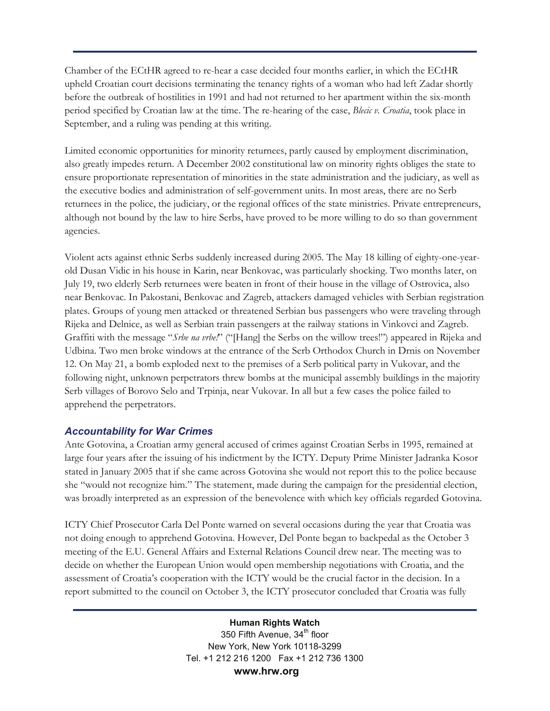Chamber of the ECtHR agreed to re-hear a case decided four months earlier, in which the ECtHR upheld Croatian court decisions terminating the tenancy rights of a woman who had left Zadar shortly before the outbreak of hostilities in 1991 and had not returned to her apartment within the six-month period specified by Croatian law at the time. The re-hearing of the case, *Blecic v. Croatia*, took place in September, and a ruling was pending at this writing.

Limited economic opportunities for minority returnees, partly caused by employment discrimination, also greatly impedes return. A December 2002 constitutional law on minority rights obliges the state to ensure proportionate representation of minorities in the state administration and the judiciary, as well as the executive bodies and administration of self-government units. In most areas, there are no Serb returnees in the police, the judiciary, or the regional offices of the state ministries. Private entrepreneurs, although not bound by the law to hire Serbs, have proved to be more willing to do so than government agencies.

Violent acts against ethnic Serbs suddenly increased during 2005. The May 18 killing of eighty-one-yearold Dusan Vidic in his house in Karin, near Benkovac, was particularly shocking. Two months later, on July 19, two elderly Serb returnees were beaten in front of their house in the village of Ostrovica, also near Benkovac. In Pakostani, Benkovac and Zagreb, attackers damaged vehicles with Serbian registration plates. Groups of young men attacked or threatened Serbian bus passengers who were traveling through Rijeka and Delnice, as well as Serbian train passengers at the railway stations in Vinkovci and Zagreb. Graffiti with the message "*Srbe na vrbe!*" ("[Hang] the Serbs on the willow trees!") appeared in Rijeka and Udbina. Two men broke windows at the entrance of the Serb Orthodox Church in Drnis on November 12. On May 21, a bomb exploded next to the premises of a Serb political party in Vukovar, and the following night, unknown perpetrators threw bombs at the municipal assembly buildings in the majority Serb villages of Borovo Selo and Trpinja, near Vukovar. In all but a few cases the police failed to apprehend the perpetrators.

#### *Accountability for War Crimes*

Ante Gotovina, a Croatian army general accused of crimes against Croatian Serbs in 1995, remained at large four years after the issuing of his indictment by the ICTY. Deputy Prime Minister Jadranka Kosor stated in January 2005 that if she came across Gotovina she would not report this to the police because she "would not recognize him." The statement, made during the campaign for the presidential election, was broadly interpreted as an expression of the benevolence with which key officials regarded Gotovina.

ICTY Chief Prosecutor Carla Del Ponte warned on several occasions during the year that Croatia was not doing enough to apprehend Gotovina. However, Del Ponte began to backpedal as the October 3 meeting of the E.U. General Affairs and External Relations Council drew near. The meeting was to decide on whether the European Union would open membership negotiations with Croatia, and the assessment of Croatia's cooperation with the ICTY would be the crucial factor in the decision. In a report submitted to the council on October 3, the ICTY prosecutor concluded that Croatia was fully

> **Human Rights Watch**  350 Fifth Avenue, 34<sup>th</sup> floor New York, New York 10118-3299 Tel. +1 212 216 1200 Fax +1 212 736 1300  **www.hrw.org**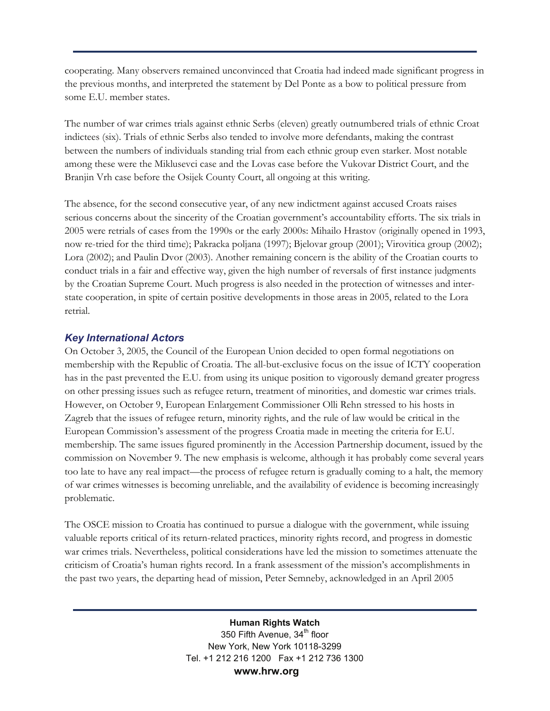cooperating. Many observers remained unconvinced that Croatia had indeed made significant progress in the previous months, and interpreted the statement by Del Ponte as a bow to political pressure from some E.U. member states.

The number of war crimes trials against ethnic Serbs (eleven) greatly outnumbered trials of ethnic Croat indictees (six). Trials of ethnic Serbs also tended to involve more defendants, making the contrast between the numbers of individuals standing trial from each ethnic group even starker. Most notable among these were the Miklusevci case and the Lovas case before the Vukovar District Court, and the Branjin Vrh case before the Osijek County Court, all ongoing at this writing.

The absence, for the second consecutive year, of any new indictment against accused Croats raises serious concerns about the sincerity of the Croatian government's accountability efforts. The six trials in 2005 were retrials of cases from the 1990s or the early 2000s: Mihailo Hrastov (originally opened in 1993, now re-tried for the third time); Pakracka poljana (1997); Bjelovar group (2001); Virovitica group (2002); Lora (2002); and Paulin Dvor (2003). Another remaining concern is the ability of the Croatian courts to conduct trials in a fair and effective way, given the high number of reversals of first instance judgments by the Croatian Supreme Court. Much progress is also needed in the protection of witnesses and interstate cooperation, in spite of certain positive developments in those areas in 2005, related to the Lora retrial.

#### *Key International Actors*

On October 3, 2005, the Council of the European Union decided to open formal negotiations on membership with the Republic of Croatia. The all-but-exclusive focus on the issue of ICTY cooperation has in the past prevented the E.U. from using its unique position to vigorously demand greater progress on other pressing issues such as refugee return, treatment of minorities, and domestic war crimes trials. However, on October 9, European Enlargement Commissioner Olli Rehn stressed to his hosts in Zagreb that the issues of refugee return, minority rights, and the rule of law would be critical in the European Commission's assessment of the progress Croatia made in meeting the criteria for E.U. membership. The same issues figured prominently in the Accession Partnership document, issued by the commission on November 9. The new emphasis is welcome, although it has probably come several years too late to have any real impact—the process of refugee return is gradually coming to a halt, the memory of war crimes witnesses is becoming unreliable, and the availability of evidence is becoming increasingly problematic.

The OSCE mission to Croatia has continued to pursue a dialogue with the government, while issuing valuable reports critical of its return-related practices, minority rights record, and progress in domestic war crimes trials. Nevertheless, political considerations have led the mission to sometimes attenuate the criticism of Croatia's human rights record. In a frank assessment of the mission's accomplishments in the past two years, the departing head of mission, Peter Semneby, acknowledged in an April 2005

> **Human Rights Watch**  350 Fifth Avenue, 34<sup>th</sup> floor New York, New York 10118-3299 Tel. +1 212 216 1200 Fax +1 212 736 1300  **www.hrw.org**